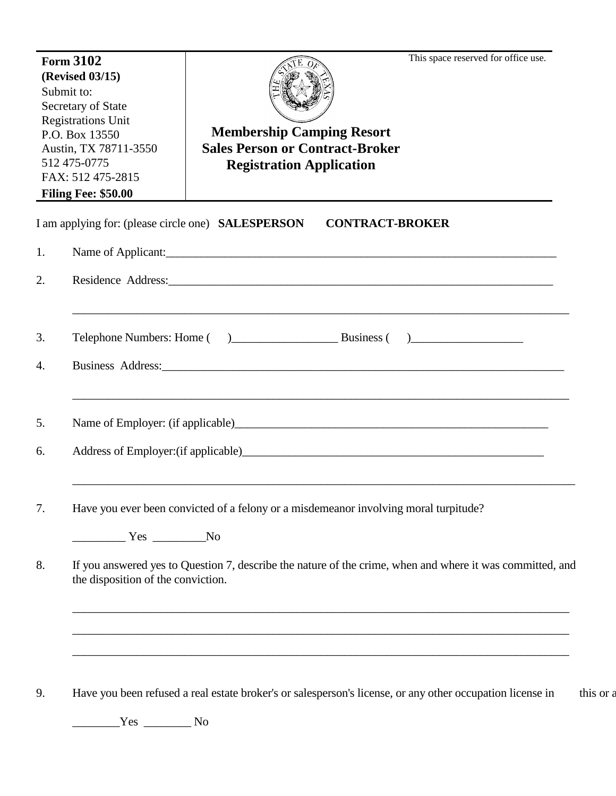| I am applying for: (please circle one) <b>SALESPERSON</b><br><b>CONTRACT-BROKER</b><br>Name of Applicant: 1000 million and the contract of Applicant:<br>Residence Address: Manual Communication of the Address of The Address and The Address of the Address of the Address of the Address of the Address of the Address of the Address of the Address of the Address of the Address o<br>Business Address: Management of the Management of the Management of the Management of the Management of the Management of the Management of the Management of the Management of the Management of the Management of the Manage<br>Name of Employer: (if applicable)<br>Have you ever been convicted of a felony or a misdemeanor involving moral turpitude?<br>$\frac{1}{\sqrt{1-\frac{1}{2}}\sqrt{1-\frac{1}{2}}\sqrt{1-\frac{1}{2}}\sqrt{1-\frac{1}{2}}\sqrt{1-\frac{1}{2}}\sqrt{1-\frac{1}{2}}\sqrt{1-\frac{1}{2}}\sqrt{1-\frac{1}{2}}\sqrt{1-\frac{1}{2}}\sqrt{1-\frac{1}{2}}\sqrt{1-\frac{1}{2}}\sqrt{1-\frac{1}{2}}\sqrt{1-\frac{1}{2}}\sqrt{1-\frac{1}{2}}\sqrt{1-\frac{1}{2}}\sqrt{1-\frac{1}{2}}\sqrt{1-\frac{1}{2}}\sqrt{1-\frac{1}{2}}\sqrt{1-\frac{1}{2}}\sqrt{1-\frac$<br>If you answered yes to Question 7, describe the nature of the crime, when and where it was committed, and<br>the disposition of the conviction.<br><u> 1989 - Johann Stoff, amerikansk politiker (d. 1989)</u><br>,我们也不能在这里的时候,我们也不能在这里的时候,我们也不能不能不能会不能会不能会不能会不能会不能会不能会不能会不能会。""我们的是我们的,我们也不能会不能会不<br>Have you been refused a real estate broker's or salesperson's license, or any other occupation license in | <b>Form 3102</b><br>(Revised 03/15)<br>Submit to:<br>Secretary of State<br><b>Registrations Unit</b><br>P.O. Box 13550<br>Austin, TX 78711-3550<br>512 475-0775<br>FAX: 512 475-2815<br><b>Filing Fee: \$50.00</b> |  | This space reserved for office use.<br><b>Membership Camping Resort</b><br><b>Sales Person or Contract-Broker</b><br><b>Registration Application</b> |  |
|---------------------------------------------------------------------------------------------------------------------------------------------------------------------------------------------------------------------------------------------------------------------------------------------------------------------------------------------------------------------------------------------------------------------------------------------------------------------------------------------------------------------------------------------------------------------------------------------------------------------------------------------------------------------------------------------------------------------------------------------------------------------------------------------------------------------------------------------------------------------------------------------------------------------------------------------------------------------------------------------------------------------------------------------------------------------------------------------------------------------------------------------------------------------------------------------------------------------------------------------------------------------------------------------------------------------------------------------------------------------------------------------------------------------------------------------------------------------------------------------------------------------------------------------------------------------------------------------------|--------------------------------------------------------------------------------------------------------------------------------------------------------------------------------------------------------------------|--|------------------------------------------------------------------------------------------------------------------------------------------------------|--|
|                                                                                                                                                                                                                                                                                                                                                                                                                                                                                                                                                                                                                                                                                                                                                                                                                                                                                                                                                                                                                                                                                                                                                                                                                                                                                                                                                                                                                                                                                                                                                                                                   |                                                                                                                                                                                                                    |  |                                                                                                                                                      |  |
|                                                                                                                                                                                                                                                                                                                                                                                                                                                                                                                                                                                                                                                                                                                                                                                                                                                                                                                                                                                                                                                                                                                                                                                                                                                                                                                                                                                                                                                                                                                                                                                                   | 1.                                                                                                                                                                                                                 |  |                                                                                                                                                      |  |
|                                                                                                                                                                                                                                                                                                                                                                                                                                                                                                                                                                                                                                                                                                                                                                                                                                                                                                                                                                                                                                                                                                                                                                                                                                                                                                                                                                                                                                                                                                                                                                                                   | 2.                                                                                                                                                                                                                 |  |                                                                                                                                                      |  |
|                                                                                                                                                                                                                                                                                                                                                                                                                                                                                                                                                                                                                                                                                                                                                                                                                                                                                                                                                                                                                                                                                                                                                                                                                                                                                                                                                                                                                                                                                                                                                                                                   | 3.                                                                                                                                                                                                                 |  |                                                                                                                                                      |  |
|                                                                                                                                                                                                                                                                                                                                                                                                                                                                                                                                                                                                                                                                                                                                                                                                                                                                                                                                                                                                                                                                                                                                                                                                                                                                                                                                                                                                                                                                                                                                                                                                   | 4.                                                                                                                                                                                                                 |  |                                                                                                                                                      |  |
|                                                                                                                                                                                                                                                                                                                                                                                                                                                                                                                                                                                                                                                                                                                                                                                                                                                                                                                                                                                                                                                                                                                                                                                                                                                                                                                                                                                                                                                                                                                                                                                                   | 5.                                                                                                                                                                                                                 |  |                                                                                                                                                      |  |
|                                                                                                                                                                                                                                                                                                                                                                                                                                                                                                                                                                                                                                                                                                                                                                                                                                                                                                                                                                                                                                                                                                                                                                                                                                                                                                                                                                                                                                                                                                                                                                                                   | 6.                                                                                                                                                                                                                 |  |                                                                                                                                                      |  |
|                                                                                                                                                                                                                                                                                                                                                                                                                                                                                                                                                                                                                                                                                                                                                                                                                                                                                                                                                                                                                                                                                                                                                                                                                                                                                                                                                                                                                                                                                                                                                                                                   | 7.                                                                                                                                                                                                                 |  |                                                                                                                                                      |  |
|                                                                                                                                                                                                                                                                                                                                                                                                                                                                                                                                                                                                                                                                                                                                                                                                                                                                                                                                                                                                                                                                                                                                                                                                                                                                                                                                                                                                                                                                                                                                                                                                   |                                                                                                                                                                                                                    |  |                                                                                                                                                      |  |
|                                                                                                                                                                                                                                                                                                                                                                                                                                                                                                                                                                                                                                                                                                                                                                                                                                                                                                                                                                                                                                                                                                                                                                                                                                                                                                                                                                                                                                                                                                                                                                                                   | 8.                                                                                                                                                                                                                 |  |                                                                                                                                                      |  |
|                                                                                                                                                                                                                                                                                                                                                                                                                                                                                                                                                                                                                                                                                                                                                                                                                                                                                                                                                                                                                                                                                                                                                                                                                                                                                                                                                                                                                                                                                                                                                                                                   |                                                                                                                                                                                                                    |  |                                                                                                                                                      |  |
|                                                                                                                                                                                                                                                                                                                                                                                                                                                                                                                                                                                                                                                                                                                                                                                                                                                                                                                                                                                                                                                                                                                                                                                                                                                                                                                                                                                                                                                                                                                                                                                                   | 9.                                                                                                                                                                                                                 |  |                                                                                                                                                      |  |
| $Yes$ No                                                                                                                                                                                                                                                                                                                                                                                                                                                                                                                                                                                                                                                                                                                                                                                                                                                                                                                                                                                                                                                                                                                                                                                                                                                                                                                                                                                                                                                                                                                                                                                          |                                                                                                                                                                                                                    |  |                                                                                                                                                      |  |